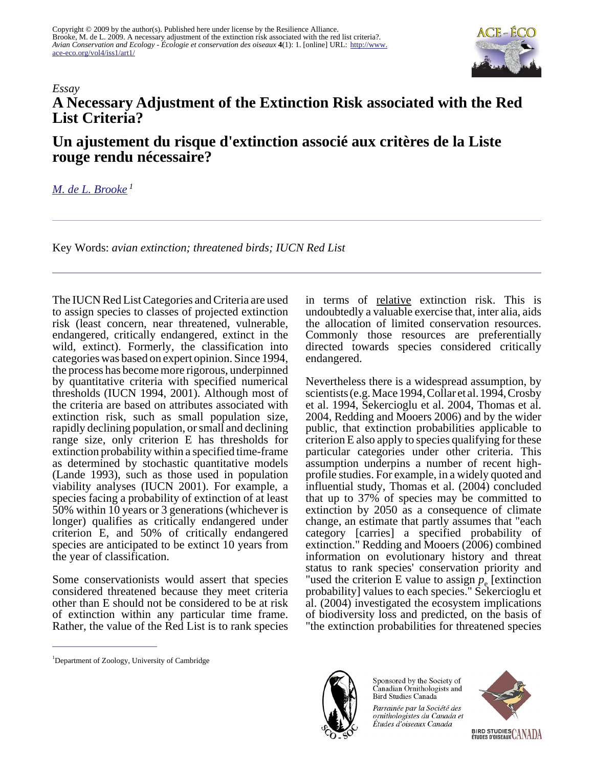

## *Essay* **A Necessary Adjustment of the Extinction Risk associated with the Red List Criteria?**

## **Un ajustement du risque d'extinction associé aux critères de la Liste rouge rendu nécessaire?**

*[M. de L. Brooke](mailto:m.brooke@zoo.cam.ac.uk)<sup>1</sup>*

Key Words: *avian extinction; threatened birds; IUCN Red List*

The IUCN Red List Categories and Criteria are used to assign species to classes of projected extinction risk (least concern, near threatened, vulnerable, endangered, critically endangered, extinct in the wild, extinct). Formerly, the classification into categories was based on expert opinion. Since 1994, the process has become more rigorous, underpinned by quantitative criteria with specified numerical thresholds (IUCN 1994, 2001). Although most of the criteria are based on attributes associated with extinction risk, such as small population size, rapidly declining population, or small and declining range size, only criterion E has thresholds for extinction probability within a specified time-frame as determined by stochastic quantitative models (Lande 1993), such as those used in population viability analyses (IUCN 2001). For example, a species facing a probability of extinction of at least 50% within 10 years or 3 generations (whichever is longer) qualifies as critically endangered under criterion E, and 50% of critically endangered species are anticipated to be extinct 10 years from the year of classification.

Some conservationists would assert that species considered threatened because they meet criteria other than E should not be considered to be at risk of extinction within any particular time frame. Rather, the value of the Red List is to rank species

in terms of relative extinction risk. This is undoubtedly a valuable exercise that, inter alia, aids the allocation of limited conservation resources. Commonly those resources are preferentially directed towards species considered critically endangered.

Nevertheless there is a widespread assumption, by scientists (e.g. Mace 1994, Collar et al. 1994, Crosby et al. 1994, Sekercioglu et al. 2004, Thomas et al. 2004, Redding and Mooers 2006) and by the wider public, that extinction probabilities applicable to criterion E also apply to species qualifying for these particular categories under other criteria. This assumption underpins a number of recent highprofile studies. For example, in a widely quoted and influential study, Thomas et al. (2004) concluded that up to 37% of species may be committed to extinction by 2050 as a consequence of climate change, an estimate that partly assumes that "each category [carries] a specified probability of extinction." Redding and Mooers (2006) combined information on evolutionary history and threat status to rank species' conservation priority and "used the criterion E value to assign  $p_e$  [extinction probability] values to each species." Sekercioglu et al. (2004) investigated the ecosystem implications of biodiversity loss and predicted, on the basis of "the extinction probabilities for threatened species



Sponsored by the Society of Canadian Ornithologists and Bird Studies Canada Parrainée par la Société des

ornithologistes du Canada et Études d'oiseaux Canada



<sup>&</sup>lt;sup>1</sup>Department of Zoology, University of Cambridge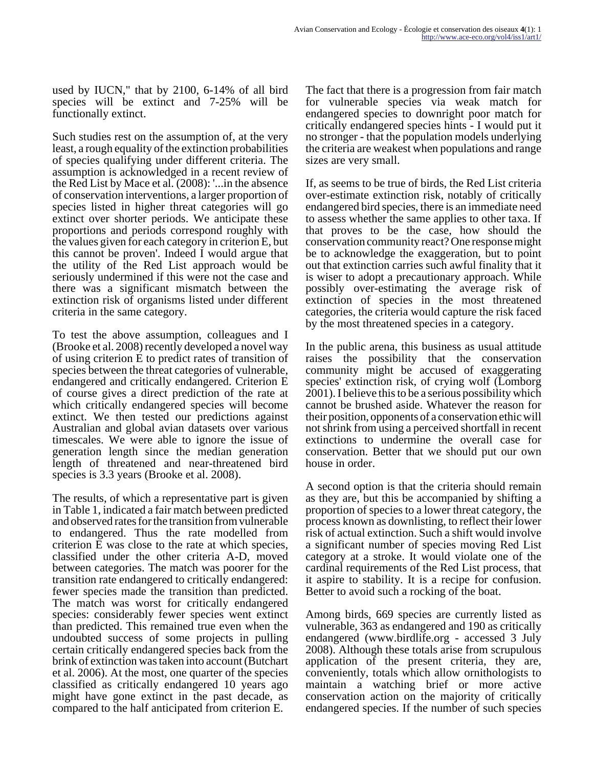used by IUCN," that by 2100, 6-14% of all bird species will be extinct and 7-25% will be functionally extinct.

Such studies rest on the assumption of, at the very least, a rough equality of the extinction probabilities of species qualifying under different criteria. The assumption is acknowledged in a recent review of the Red List by Mace et al. (2008): '...in the absence of conservation interventions, a larger proportion of species listed in higher threat categories will go extinct over shorter periods. We anticipate these proportions and periods correspond roughly with the values given for each category in criterion E, but this cannot be proven'. Indeed I would argue that the utility of the Red List approach would be seriously undermined if this were not the case and there was a significant mismatch between the extinction risk of organisms listed under different criteria in the same category.

To test the above assumption, colleagues and I (Brooke et al. 2008) recently developed a novel way of using criterion E to predict rates of transition of species between the threat categories of vulnerable, endangered and critically endangered. Criterion E of course gives a direct prediction of the rate at which critically endangered species will become extinct. We then tested our predictions against Australian and global avian datasets over various timescales. We were able to ignore the issue of generation length since the median generation length of threatened and near-threatened bird species is 3.3 years (Brooke et al. 2008).

The results, of which a representative part is given in Table 1, indicated a fair match between predicted and observed rates for the transition from vulnerable to endangered. Thus the rate modelled from criterion E was close to the rate at which species, classified under the other criteria A-D, moved between categories. The match was poorer for the transition rate endangered to critically endangered: fewer species made the transition than predicted. The match was worst for critically endangered species: considerably fewer species went extinct than predicted. This remained true even when the undoubted success of some projects in pulling certain critically endangered species back from the brink of extinction was taken into account (Butchart et al. 2006). At the most, one quarter of the species classified as critically endangered 10 years ago might have gone extinct in the past decade, as compared to the half anticipated from criterion E.

The fact that there is a progression from fair match for vulnerable species via weak match for endangered species to downright poor match for critically endangered species hints - I would put it no stronger - that the population models underlying the criteria are weakest when populations and range sizes are very small.

If, as seems to be true of birds, the Red List criteria over-estimate extinction risk, notably of critically endangered bird species, there is an immediate need to assess whether the same applies to other taxa. If that proves to be the case, how should the conservation community react? One response might be to acknowledge the exaggeration, but to point out that extinction carries such awful finality that it is wiser to adopt a precautionary approach. While possibly over-estimating the average risk of extinction of species in the most threatened categories, the criteria would capture the risk faced by the most threatened species in a category.

In the public arena, this business as usual attitude raises the possibility that the conservation community might be accused of exaggerating species' extinction risk, of crying wolf (Lomborg 2001). I believe this to be a serious possibility which cannot be brushed aside. Whatever the reason for their position, opponents of a conservation ethic will not shrink from using a perceived shortfall in recent extinctions to undermine the overall case for conservation. Better that we should put our own house in order.

A second option is that the criteria should remain as they are, but this be accompanied by shifting a proportion of species to a lower threat category, the process known as downlisting, to reflect their lower risk of actual extinction. Such a shift would involve a significant number of species moving Red List category at a stroke. It would violate one of the cardinal requirements of the Red List process, that it aspire to stability. It is a recipe for confusion. Better to avoid such a rocking of the boat.

Among birds, 669 species are currently listed as vulnerable, 363 as endangered and 190 as critically endangered (www.birdlife.org - accessed 3 July 2008). Although these totals arise from scrupulous application of the present criteria, they are, conveniently, totals which allow ornithologists to maintain a watching brief or more active conservation action on the majority of critically endangered species. If the number of such species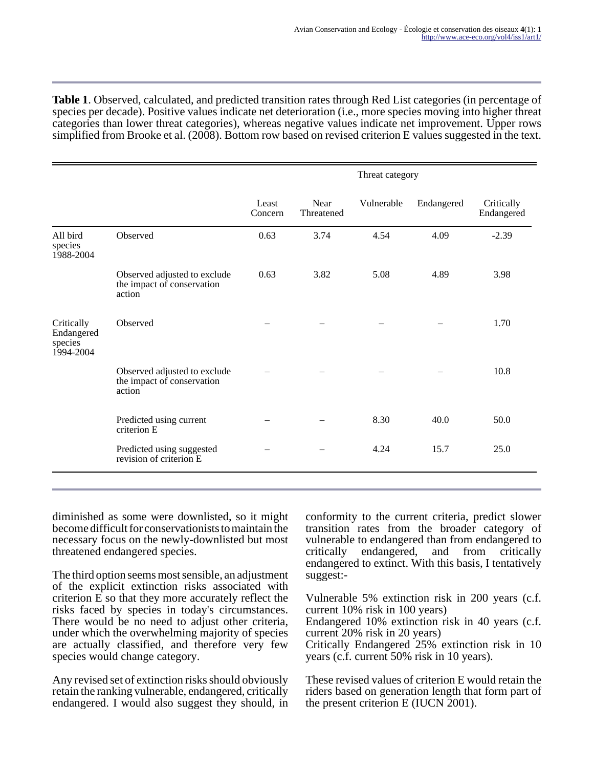**Table 1**. Observed, calculated, and predicted transition rates through Red List categories (in percentage of species per decade). Positive values indicate net deterioration (i.e., more species moving into higher threat categories than lower threat categories), whereas negative values indicate net improvement. Upper rows simplified from Brooke et al. (2008). Bottom row based on revised criterion E values suggested in the text.

|                                                                      | Threat category  |                    |            |            |                          |
|----------------------------------------------------------------------|------------------|--------------------|------------|------------|--------------------------|
|                                                                      | Least<br>Concern | Near<br>Threatened | Vulnerable | Endangered | Critically<br>Endangered |
| Observed<br>All bird<br>species<br>1988-2004                         | 0.63             | 3.74               | 4.54       | 4.09       | $-2.39$                  |
| Observed adjusted to exclude<br>the impact of conservation<br>action | 0.63             | 3.82               | 5.08       | 4.89       | 3.98                     |
| Observed                                                             |                  |                    |            |            | 1.70                     |
| Observed adjusted to exclude<br>the impact of conservation<br>action |                  |                    |            |            | 10.8                     |
| Predicted using current<br>criterion E                               |                  |                    | 8.30       | 40.0       | 50.0                     |
| Predicted using suggested<br>revision of criterion E                 |                  |                    | 4.24       | 15.7       | 25.0                     |
|                                                                      |                  |                    |            |            |                          |

diminished as some were downlisted, so it might become difficult for conservationists to maintain the necessary focus on the newly-downlisted but most threatened endangered species.

The third option seems most sensible, an adjustment of the explicit extinction risks associated with criterion E so that they more accurately reflect the risks faced by species in today's circumstances. There would be no need to adjust other criteria, under which the overwhelming majority of species are actually classified, and therefore very few species would change category.

Any revised set of extinction risks should obviously retain the ranking vulnerable, endangered, critically endangered. I would also suggest they should, in conformity to the current criteria, predict slower transition rates from the broader category of vulnerable to endangered than from endangered to critically endangered, and from critically endangered to extinct. With this basis, I tentatively suggest:-

Vulnerable 5% extinction risk in 200 years (c.f. current 10% risk in 100 years)

Endangered 10% extinction risk in 40 years (c.f. current 20% risk in 20 years)

Critically Endangered 25% extinction risk in 10 years (c.f. current 50% risk in 10 years).

These revised values of criterion E would retain the riders based on generation length that form part of the present criterion E (IUCN 2001).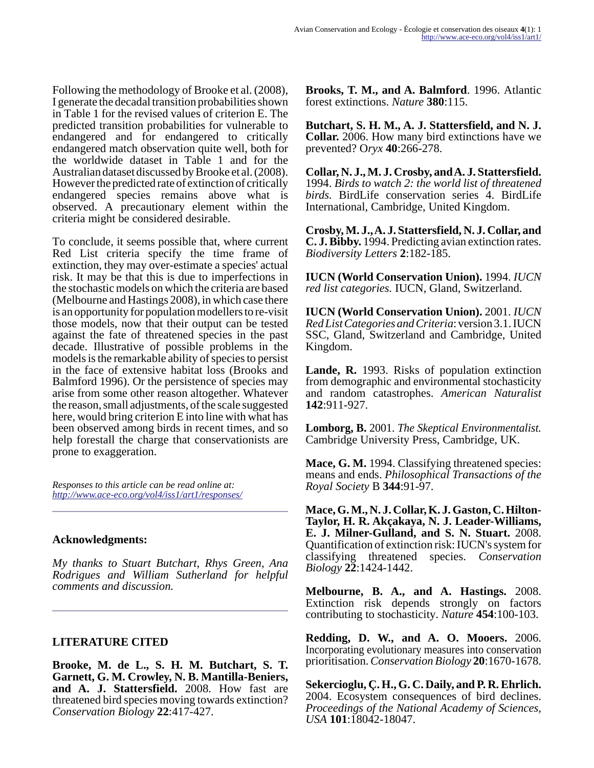Following the methodology of Brooke et al. (2008), I generate the decadal transition probabilities shown in Table 1 for the revised values of criterion E. The predicted transition probabilities for vulnerable to endangered and for endangered to critically endangered match observation quite well, both for the worldwide dataset in Table 1 and for the Australian dataset discussed by Brooke et al. (2008). However the predicted rate of extinction of critically endangered species remains above what is observed. A precautionary element within the criteria might be considered desirable.

To conclude, it seems possible that, where current Red List criteria specify the time frame of extinction, they may over-estimate a species' actual risk. It may be that this is due to imperfections in the stochastic models on which the criteria are based (Melbourne and Hastings 2008), in which case there is an opportunity for population modellers to re-visit those models, now that their output can be tested against the fate of threatened species in the past decade. Illustrative of possible problems in the models is the remarkable ability of species to persist in the face of extensive habitat loss (Brooks and Balmford 1996). Or the persistence of species may arise from some other reason altogether. Whatever the reason, small adjustments, of the scale suggested here, would bring criterion E into line with what has been observed among birds in recent times, and so help forestall the charge that conservationists are prone to exaggeration.

*Responses to this article can be read online at: <http://www.ace-eco.org/vol4/iss1/art1/responses/>*

## **Acknowledgments:**

*My thanks to Stuart Butchart, Rhys Green, Ana Rodrigues and William Sutherland for helpful comments and discussion.*

## **LITERATURE CITED**

**Brooke, M. de L., S. H. M. Butchart, S. T. Garnett, G. M. Crowley, N. B. Mantilla-Beniers, and A. J. Stattersfield.** 2008. How fast are threatened bird species moving towards extinction? *Conservation Biology* **22**:417-427.

**Brooks, T. M., and A. Balmford**. 1996. Atlantic forest extinctions. *Nature* **380**:115.

**Butchart, S. H. M., A. J. Stattersfield, and N. J. Collar.** 2006. How many bird extinctions have we prevented? O*ryx* **40**:266-278.

**Collar, N. J., M. J. Crosby, and A. J. Stattersfield.** 1994. *Birds to watch 2: the world list of threatened birds.* BirdLife conservation series 4. BirdLife International, Cambridge, United Kingdom.

**Crosby, M. J., A. J. Stattersfield, N. J. Collar, and C. J. Bibby.** 1994. Predicting avian extinction rates. *Biodiversity Letters* **2**:182-185.

**IUCN (World Conservation Union).** 1994. *IUCN red list categories.* IUCN, Gland, Switzerland.

**IUCN (World Conservation Union).** 2001. *IUCN Red List Categories and Criteria*: version 3.1. IUCN SSC, Gland, Switzerland and Cambridge, United Kingdom.

**Lande, R.** 1993. Risks of population extinction from demographic and environmental stochasticity and random catastrophes. *American Naturalist* **142**:911-927.

**Lomborg, B.** 2001. *The Skeptical Environmentalist.* Cambridge University Press, Cambridge, UK.

**Mace, G. M.** 1994. Classifying threatened species: means and ends. *Philosophical Transactions of the Royal Society* B **344**:91-97.

**Mace, G. M., N. J. Collar, K. J. Gaston, C. Hilton-Taylor, H. R. Akçakaya, N. J. Leader-Williams, E. J. Milner-Gulland, and S. N. Stuart.** 2008. Quantification of extinction risk: IUCN's system for classifying threatened species. *Conservation Biology* **22**:1424-1442.

**Melbourne, B. A., and A. Hastings.** 2008. Extinction risk depends strongly on factors contributing to stochasticity. *Nature* **454**:100-103.

**Redding, D. W., and A. O. Mooers.** 2006. Incorporating evolutionary measures into conservation prioritisation. *Conservation Biology* **20**:1670-1678.

**Sekercioglu, Ç. H., G. C. Daily, and P. R. Ehrlich.** 2004. Ecosystem consequences of bird declines. *Proceedings of the National Academy of Sciences, USA* **101**:18042-18047.